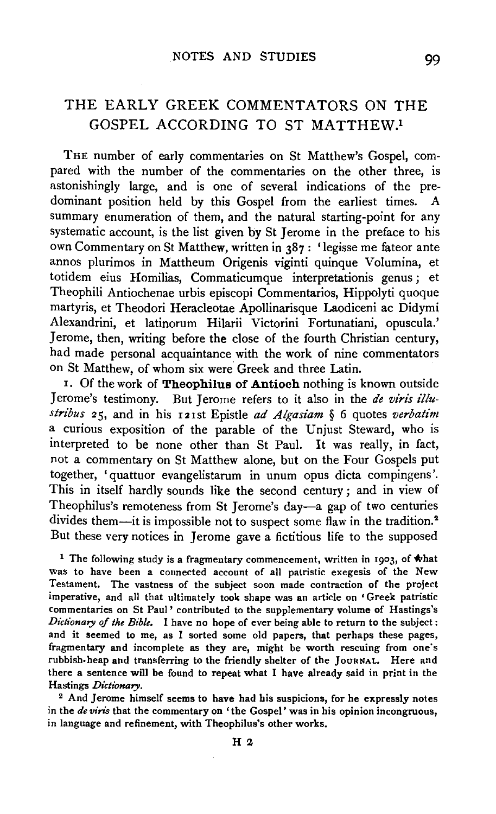## THE EARLY GREEK COMMENTATORS ON THE GOSPEL ACCORDING TO ST MATTHEW.<sup>1</sup>

THE number of early commentaries on St Matthew's Gospel, compared with the number of the commentaries on the other three, is astonishingly large, and is one of several indications of the predominant position held by this Gospel from the earliest times. A summary enumeration of them, and the natural starting-point for any systematic account, is the list given by St Jerome in the preface to his own Commentary on St Matthew, written in 387 : 'legisse me fateor ante annos plurimos in Mattheum Origenis viginti quinque Volumina, et totidem eius Homilias, Commaticumque interpretationis genus ; et Theophili Antiochenae urbis episcopi Commentarios, Hippolyti quoque martyris, et Theodori Heracleotae Apollinarisque Laodiceni ac Didymi Alexandrini, et latinorum Hilarii Victorini Fortunatiani, opuscula.' Jerome, then, writing before the close of the fourth Christian century, had made personal acquaintance with the work of nine commentators on St Matthew, of whom six were Greek and three Latin.

1. Of the work of Theophilus of Antioch nothing is known outside Jerome's testimony. But Jerome refers to it also in the *de viris illustribus* 25, and in his 121st Epistle *ad Algasiam* § 6 quotes *verbatim*  a curious exposition of the parable of the Unjust Steward, who is interpreted to be none other than St Paul. It was really, in fact, not a commentary on St Matthew alone, but on the Four Gospels put together, 'quattuor evangelistarum in unum opus dicta compingens'. This in itself hardly sounds like the second century ; and in view of Theophilus's remoteness from St Jerome's day-a gap of two centuries divides them-it is impossible not to suspect some flaw in the tradition.<sup>2</sup> But these very notices in Jerome gave a fictitious life to the supposed

<sup>1</sup> The following study is a fragmentary commencement, written in 1903, of  $\text{What}$ was to have been a connected account of all patristic exegesis of the New Testament. The vastness of the subject soon made contraction of the project imperative, and all that ultimately took shape was an article on 'Greek patristic commentaries on St Paul' contributed to the supplementary volume of Hastings's *Dictionary of the Bible.* I have no hope of ever being able to return to the subject : and it seemed to me, as I sorted some old papers, that perhaps these pages, fragmentary and incomplete as they are, might be worth rescuing from one's rubbish·heap and transferring to the friendly shelter of the JouRNAL, Here and there a sentence will be found to repeat what I have already said in print in the Hastings *Dictionary.* 

<sup>2</sup> And Jerome himself seems to have had his suspicions, for he expressly notes in the *de viris* that the commentary on 'the Gospel' was in his opinion incongruous, in language and refinement, with Theophilus's other works.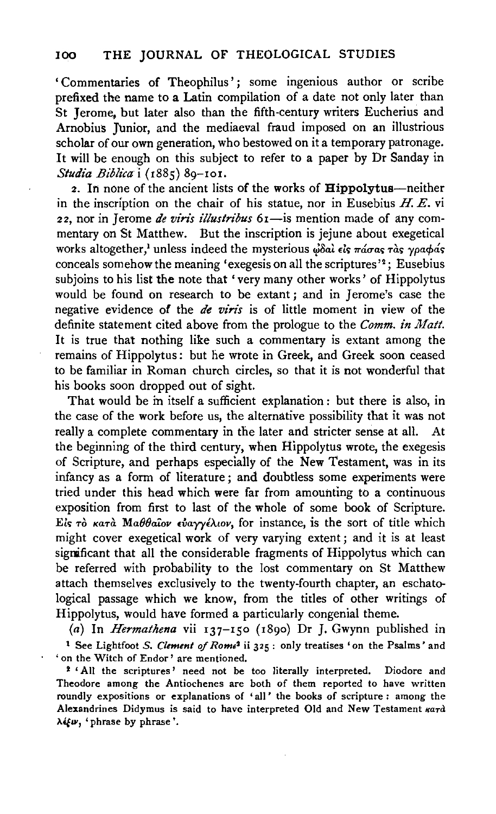'Commentaries of Theophilus'; some ingenious author or scribe prefixed the name to a Latin compilation of a date not only later than St Jerome. but later also than the fifth-century writers Eucherius and Arnobius Junior, and the mediaeval fraud imposed on an illustrious scholar of our own generation, who bestowed on it a temporary patronage. It will be enough on this subject to refer to a paper by Dr Sanday in *Studia Biblica* i (r885) 89-ror.

2. In none of the ancient lists of the works of  $\mathbf{Hippolytus}\text{-}\text{neither}$ in the inscription on the chair of his statue, nor in Eusebius  $H.E.$  vi 22, nor in Jerome *de viris illustribus* 61-is mention made of any commentary on St Matthew. But the inscription is jejune about exegetical works altogether,<sup>1</sup> unless indeed the mysterious  $\phi$ δαί είς πάσας τὰς γραφάς conceals somehow the meaning 'exegesis on all the scriptures'<sup>2</sup>; Eusebius subjoins to his list the note that 'very many other works' of Hippolytus would be found on research to be extant; and in Jerome's case the negative evidence *of* the *de vins* is of little moment in view of the definite statement cited above from the prologue to the *Comm. in Matt*. It is true that nothing like such a commentary is extant among the remains of Hippolytus : but he wrote in Greek, and Greek soon ceased to be familiar in Roman church circles, so that it is not wonderful that his books soon dropped out of sight.

That would be in itself a sufficient explanation : but there is also, in the case of the work before us, the alternative possibility that it was not really a complete commentary in the later and stricter sense at all. At the beginning of the third century, when Hippolytus wrote, the exegesis of Scripture, and perhaps especially of the New Testament, was in its infancy as a form of literature ; and doubtless some experiments were tried under this head which were far from amounting to a continuous exposition from first to last of the whole of some book of Scripture. Eis τὸ κατὰ Μαθθαῖον εὐαγγέλιον, for instance, is the sort of title which might cover exegetical work of very varying extent; and it is at least significant that all the considerable fragments of Hippolytus which can be referred with probability to the lost commentary on St Matthew attach themselves exclusively to the twenty-fourth chapter, an eschatological passage which we know, from the titles of other writings of Hippolytus, would have formed a particularly congenial theme.

(a) In *Hermathena* vii 137-rso (r89o) Dr J. Gwynn published m 1 See Lightfoot *S. Clement of Romt2* ii 325 : only treatises 'on the Psalms' and ' on the Witch of Endor' are mentioned.

<sup>2</sup> 'All the scriptures' need not be too literally interpreted. Diodore and Theodore among the Antiochenes are both of them reported to have written roundly expositions or explanations of 'all' the books of scripture : among the Alexandrines Didymus is said to have interpreted Old and New Testament  $\kappa a \tau d$ Afiw, 'phrase by phrase'.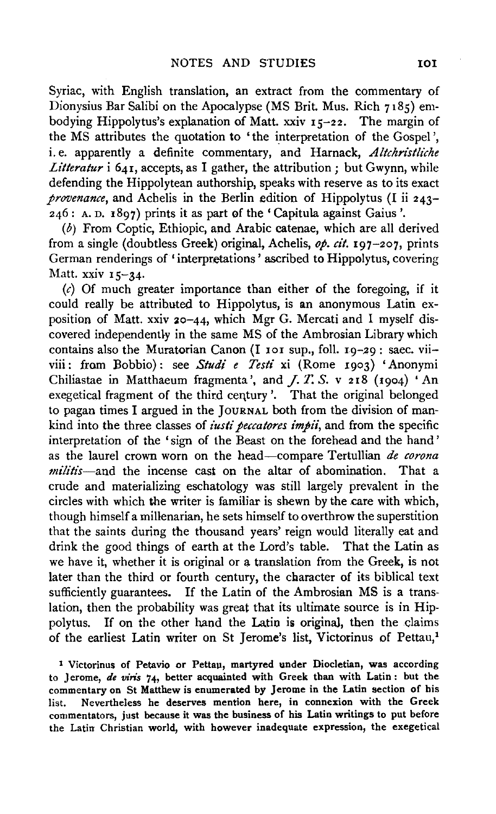Syriac, with English translation, an extract from the commentary of Dionysius Bar Salibi on the Apocalypse (MS Brit. Mus. Rich 7185) embodying Hippolytus's explanation of Matt. xxiv  $15-22$ . The margin of the MS attributes the quotation to 'the interpretation of the Gospel', i.e. apparently a definite commentary, and Harnack, *Altchristliche Litteratur* i 641, accepts, as I gather, the attribution; but Gwynn, while defending the Hippolytean authorship, speaks with reserve as to its exact *provenance,* and Achelis in the Berlin edition of Hippolytus (I ii 243-  $246: A. D. 1897$  prints it as part of the 'Capitula against Gaius'.

(b) From Coptic, Ethiopic, and Arabic catenae, which are all derived from a single (doubtless Greek) original, Achelis, *op. cit.* 197-207, prints German renderings of ' interpretations ' ascribed to Hippolytus, covering Matt. xxiv 15-34.

 $(c)$  Of much greater importance than either of the foregoing, if it could really be attributed to Hippolytus, is an anonymous Latin exposition of Matt. xxiv  $20-44$ , which Mgr G. Mercati and I myself discovered independently in the same MS of the Ambrosian Library which contains also the Muratorian Canon (I 101 sup., foll. 19-29 : saec. viiviii: from Bobbio): see *Studi e Tes#* xi (Rome 1903) 'Anonymi Chiliastae in Matthaeum fragmenta', and *J. T.* S. v 218 (1904) 'An exegetical fragment of the third ceqtury '. That the original belonged to pagan times I argued in the JOURNAL both from the division of mankind into the three classes of *iusti peccatores impii,* and from the specific interpretation of the 'sign of the Beast on the forehead and the hand ' as the laurel crown worn on the head-compare Tertullian *de corona militis-and* the incense cast on the altar of abomination. That a crude and materializing eschatology was still largely prevalent in the circles with which the writer is familiar is shewn by the care with which, though himself a millenarian, he sets himself to overthrow the superstition that the saints during the thousand years' reign would literally eat and drink the good things of earth at the Lord's table. That the Latin as we have it, whether it is original or a translation from the Greek, is not later than the third or fourth century, the character of its biblical text sufficiently guarantees. If the Latin of the Ambrosian MS is a translation, then the probability was great that its ultimate source is in Hippolytus. If on the other hand the Latin is original, then the claims of the earliest Latin writer on St Jerome's list, Victorinus of Pettau,<sup>1</sup>

1 Victorinus of Petavio or Pettap, martyred under Diocletian, was according to Jerome, *de viris* 74, better acquainted with Greek than with Latin: but the commentary on St Matthew is enumerated by Jerome in the Latin section of his list. Nevertheless he deserves mention here, in connexion with the Greek commentators, just because it was the business of his Latin writings to put before the Latin Christian world, with however inadequate expression, the exegetical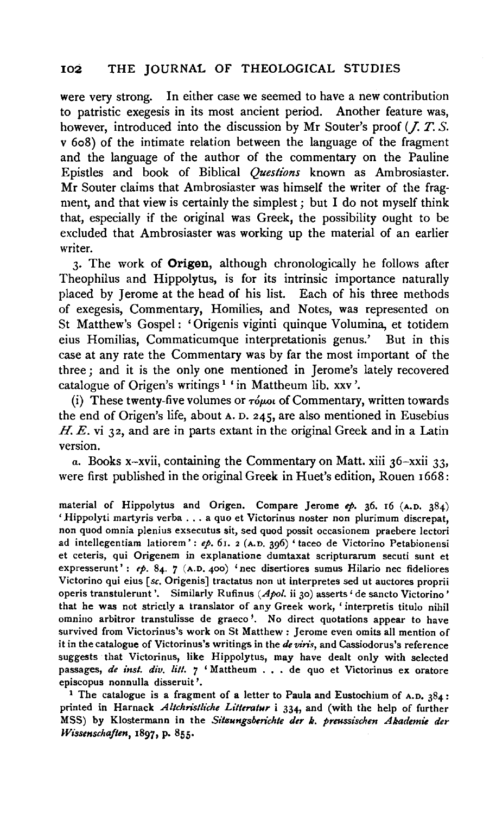## 102 THE JOURNAL OF THEOLOGICAL STUDIES

were very strong. In either case we seemed to have a new contribution to patristic exegesis in its most ancient period. Another feature was, however, introduced into the discussion by Mr Souter's proof (*J. T. S.* v 6o8) of the intimate relation between the language of the fragment and the language of the author of the commentary on the Pauline Epistles and book of Biblical *Questions* known as Ambrosiaster. Mr Souter claims that Ambrosiaster was himself the writer of the fragment, and that view is certainly the simplest; but I do not myself think that, especially if the original was Greek, the possibility ought to be excluded that Ambrosiaster was working up the material of an earlier writer.

3. The work of Origen, although chronologically he follows after Theophilus and Hippolytus, is for its intrinsic importance naturally placed by Jerome at the head of his list. Each of his three methods of exegesis, Commentary, Homilies, and Notes, was represented on St Matthew's Gospel : ' Origenis viginti quinque Volumina, et totidem eius Homilias, Commaticumque interpretationis genus.' But in this case at any rate the Commentary was by far the most important of the three; and it is the only one mentioned in Jerome's lately recovered catalogue of Origen's writings<sup>1</sup> 'in Mattheum lib. xxv'.

( i) These twenty-five volumes or *T6p.ot* of Commentary, written towards the end of Origen's life, about A. D. 245, are also mentioned in Eusebius  $H.E.$  vi 32, and are in parts extant in the original Greek and in a Latin version.

*a.* Books x-xvii, containing the Commentary on Matt. xiii 36-xxii 33, were first published in the original Greek in Huet's edition, Rouen 1668:

material of Hippolytus and Origen. Compare Jerome *ep.* 36. 16 (A.o. 384) 'Hippolyti martyris verba . . . a quo et Victorinus noster non plurimum discrepat, non quod omnia plenius exsecutus sit, sed quod possit occasionem praebere lectori ad intellegentiam latiorem': *ep.* 6r. 2 (A. D. 396) 'taceo de Victorino Petabionensi et ceteris, qui Origenem in explanatione dumtaxat scripturarum secuti sunt et expresserunt': *ep.* 84. 7 (A.D. 400) 'nee disertiores sumus Hilario nee fideliores Victorino qui eius *[se.* Origenis] tractatus non ut interpretes sed ut auctores proprii operis transtulerunt '. Similarly Rufinus (Apol. ii 30) asserts ' de sancto Victorino' that he was not strictly a translator of any Greek work, ' interpretis titulo nihil omnino arbitror transtulisse de graeco '. No direct quotations appear to have survived from Victorinus's work on St Matthew : Jerome even omits all mention of it in the catalogue of Victorinus's writings in the *de viris*, and Cassiodorus's reference suggests that Victorinus, like Hippolytus, may have dealt only with selected passages, *de inst. div. litt.* 7 'Mattheum . . . de quo et Victorinus ex oratore episcopus nonnulla disseruit '.

<sup>1</sup> The catalogue is a fragment of a letter to Paula and Eustochium of  $A.D. 384$ : printed in Harnack *Altchristliche Litteralur* i 334, and (with the help of further MSS) by Klostermann in the Sitsungsberichte der k. preussischen Akademie der *Wissenschaften, 1897, p. 855.*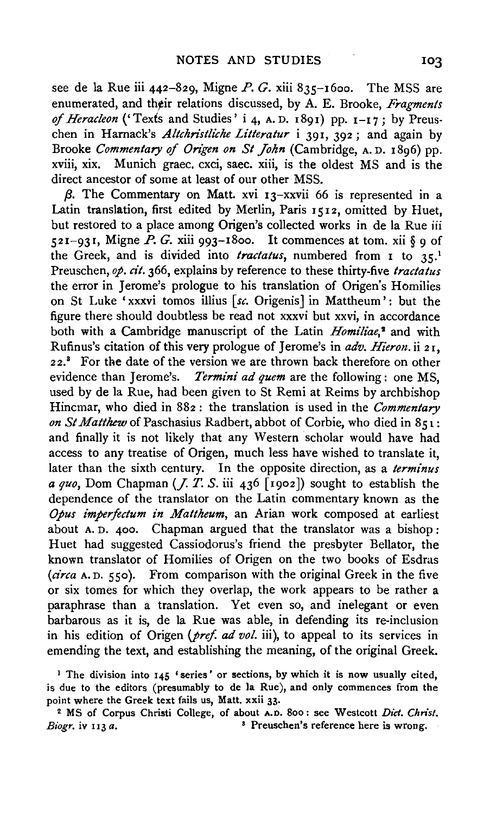see de la Rue iii 442-829, Migne  $P. G.$  xiii 835-1600. The MSS are enumerated, and their relations discussed, by A. E. Brooke, *Fragments* of *Heracleon* ('Texts and Studies' i 4, A. D. 189I) pp. I-I7; by Preuschen in Hamack's *Altchn'stliche Litteratur* i 391, 392; and again by Brooke *Commentary of Origen on St John* (Cambridge, A.D. 1896) pp. xviii, xix. Munich graec. cxci, saec. xiii, is the oldest MS and is the direct ancestor of some at least of our other MSS.

 $\beta$ . The Commentary on Matt. xvi  $13$ -xxvii 66 is represented in a Latin translation, first edited by Merlin, Paris 1512, omitted by Huet, but restored to a place among Origen's collected works in de la Rue iii 521-931, Migne P. G. xiii 993-1800. It commences at tom. xii § 9 of the Greek, and is divided into *tractatus,* numbered from I to 35.1 Preuschen, *op. cit.* 366, explains by reference to these thirty-five *tractatus*  the error in Jerome's prologue to his translation of Origen's Homilies on St Luke 'xxxvi tomos illius [sc. Origenis] in Mattheum': but the figure there should doubtless be read not xxxvi but xxvi, in accordance both with a Cambridge manuscript of the Latin *Homiliae*,<sup>3</sup> and with Rufinus's citation of this very prologue of Jerome's in *adv. Hieron*. ii 21, 22.<sup>3</sup> For the date of the version we are thrown back therefore on other evidence than Jerome's. *Termini ad quem* are the following: one MS, used by de la Rue, had been given to St Remi at Reims by archbishop Hincmar, who died in 882: the translation is used in the *Commentary on St Matthew* of Paschasius Radbert, abbot of Corbie, who died in 851: and finally it is not likely that any Western scholar would have had access to any treatise of Origen, much less have wished to translate it, later than the sixth century. In the opposite direction, as a *terminus a quo*, Dom Chapman (*J. T. S.* iii 436 [1902]) sought to establish the dependence of the translator on the Latin commentary known as the *Opus imperfectum in Mattheum,* an Arian work composed at earliest about A. D. 400. Chapman argued that the translator was a bishop : Huet had suggested Cassiodorus's friend the presbyter Bellator, the known translator of Homilies of Origen on the two books of Esdras *(circa* A. D. sso). From comparison with the original Greek in the five or six tomes for which they overlap, the work appears to be rather a paraphrase than a translation. Yet even so, and inelegant or even barbarous as it is, de la Rue was able, in defending its re-inclusion in his edition of Origen *(pref. ad vol.* iii), to appeal to its services in emending the text, and establishing the meaning, of the original Greek.

<sup>&</sup>lt;sup>1</sup> The division into 145 'series' or sections, by which it is now usually cited, is due to the editors (presumably to de la Rue), and only commences from the point where the Greek text fails us, Matt. xxii 33.

<sup>2</sup> MS of Corpus Christi College, of about A. D. Soo: see Westcott *Diet. Christ. Biogr.* iv 113 *a*. **•• <sup>3</sup>** Preuschen's reference here is wrong.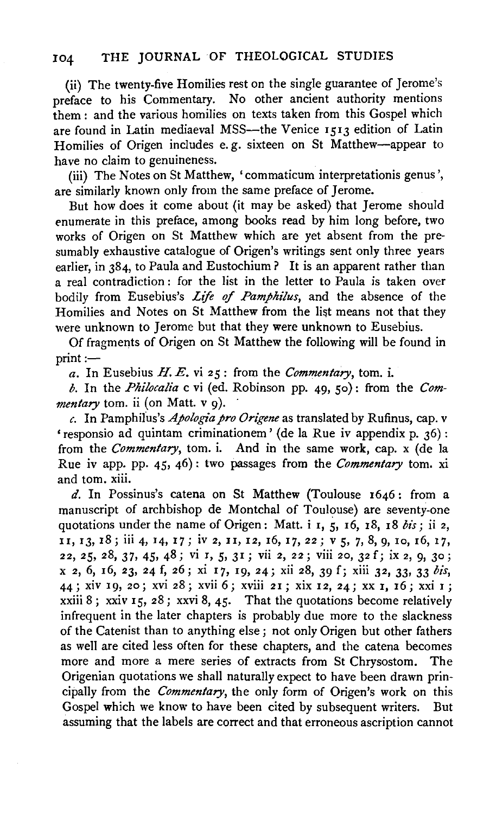(ii) The twenty-five Homilies rest on the single guarantee of Jerome's preface to his Commentary. No other ancient authority mentions them : and the various homilies on texts taken from this Gospel which are found in Latin mediaeval MSS-the Venice 1513 edition of Latin Homilies of Origen includes e. g. sixteen on St Matthew-appear to have no claim to genuineness.

(iii) The Notes on St Matthew, 'commaticum interpretationis genus', are similarly known only from the same preface of Jerome.

But how does it come about (it may be asked) that Jerome should enumerate in this preface, among books read by him long before, two works of Origen on St Matthew which are yet absent from the presumably exhaustive catalogue of Origen's writings sent only three years earlier, in 384, to Paula and Eustochium ? It is an apparent rather than a real contradiction : for the list in the letter to Paula is taken over bodily from Eusebius's *Life of Pamphilus,* and the absence of the Homilies and Notes on St Matthew from the list means not that they were unknown to Jerome but that they were unknown to Eusebius.

Of fragments of Origen on St Matthew the following will be found in  $print:$ 

*a.* In Eusebius *H. E.* vi 25: from the *Commentary,* tom. i.

*b.* In the *Philocalia* c vi (ed. Robinson pp. 49, so): from the *Commentary* tom. ii (on Matt. v 9).

*c.* In Pamphilus's *Apologia pro Origene* as translated by Rufinus, cap. v 'responsio ad quintam criminationem' (de la Rue iv appendix p. 36): from the *Commentary,* tom. i. And in the same work, cap. x (de la Rue iv app. pp. 45, 46) : two passages from the *Commentary* tom. xi and tom. xiii.

*d.* In Possinus's catena on St Matthew (Toulouse 1646: from a manuscript of archbishop de Montchal of Toulouse) are seventy-one quotations under the name of Origen: Matt. i 1, 5, 16, 18, 18 bis; ii 2, II, 13, 18; iii 4, 14, I7; iv 21 II, 12, I6, I7, 22; V *5,* 7, 8, 9, 10, I6, 17, 22, 25, 28, 37, 45, 48; vir, *5,* 3I; vii 2, 22; viii 20, 32 f; ix 2, 9, 30; x 2, 6, 16, 23, 24 f, 26; xi 17, 19, 24; xii 28, 39 f; xiii 32, 33, 33 bis, 44; xiv I9, 20; xvi 28; xvii 6; xviii 21; xix 12, 24; xx I, 16; xxi I; xxiii 8; xxiv  $15$ ,  $28$ ; xxvi 8,  $45$ . That the quotations become relatively infrequent in the later chapters is probably due more to the slackness of the Catenist than to anything else ; not only Origen but other fathers as well are cited less often for these chapters, and the catena becomes more and more a mere series of extracts from St Chrysostom. The Origenian quotations we shall naturally expect to have been drawn principally from the *Commentary,* the only form of Origen's work on this Gospel which we know to have been cited by subsequent writers. But assuming that the labels are correct and that erroneous ascription cannot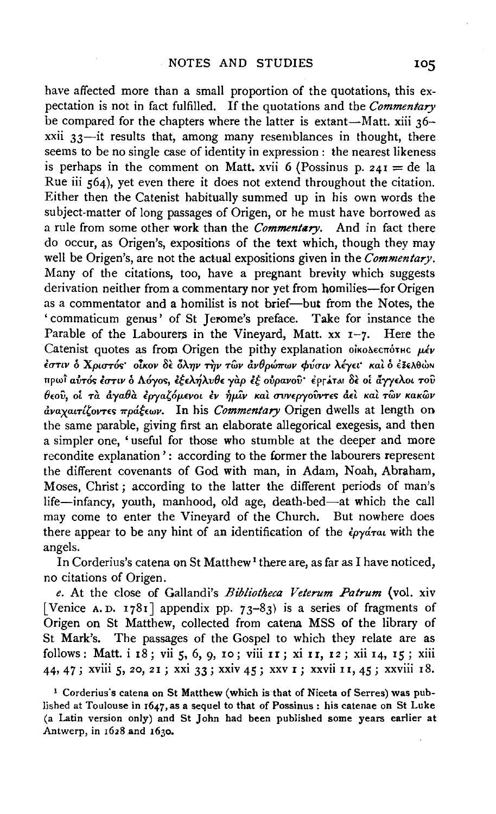have affected more than a small proportion of the quotations, this expectation is not in fact fulfilled. If the quotations and the *Commentary*  be compared for the chapters where the latter is extant-Matt. xiii  $36$  $xxi$   $33$ —it results that, among many resemblances in thought, there seems to be no single case of identity in expression : the nearest likeness is perhaps in the comment on Matt. xvii 6 (Possinus p. 241 = de la Rue iii 564), yet even there it does not extend throughout the citation. Either then the Catenist habitually summed up in his own words the subject-matter of long passages of Origen, or he must have borrowed as a rule from some other work than the *Commentary*. And in fact there do occur, as Origen's, expositions of the text which, though they may well be Origen's, are not the actual expositions given in the *Commentary*. Many of the citations, too, have a pregnant brevity which suggests derivation neither from a commentary nor yet from homilies-for Origen as a commentator and a homilist is not brief-but from the Notes, the ' commaticum genus' of St Jerome's preface. Take for instance the Parable of the Labourers in the Vineyard, Matt.  $xx$   $1-\gamma$ . Here the Catenist quotes as from Origen the pithy explanation οικολεςπότης μέν εστιν δ Χριστός· οίκον δε όλην την των ανθρώπων φύσιν λέγει· και ο εξελθών rrproi *a{m)<;* EO"TLV *b A6yo<>,* E~£A'¥jA.v8e *yap* £~ *ovpavov·* €pr.Aur *8£ Ot 11.yy£AOL TOV*   $\theta$ εού, οί τα αγαθα εργαζόμενοι εν ήμιν και συνεργούντες αει και των κακων  $d$ vayatri $\zeta$ ovres  $\pi \rho d \xi$ ewv. In his *Commentary* Origen dwells at length on the same parable, giving first an elaborate allegorical exegesis, and then a simpler one, 'useful for those who stumble at the deeper and more recondite explanation': according to the former the labourers represent the different covenants of God with man, in Adam, Noah, Abraham, Moses, Christ; according to the latter the different periods of man's life-infancy, youth, manhood, old age, death-bed-at which the call may come to enter the Vineyard of the Church. But nowhere does there appear to be any hint of an identification of the  $\epsilon_{0}$ yarat with the angels.

In Corderius's catena on St Matthew<sup>1</sup> there are, as far as I have noticed, no citations of Origen.

*e.* At the close of Gallandi's *Bibliotheca Veterum Patrum* (vol. xiv [Venice A. D. 1781] appendix pp. 73-83) is a series of fragments of Origen on St Matthew, collected from catena MSS of the library of St Mark's. The passages of the Gospel to which they relate are as follows: Matt. i 18; vii 5, 6, 9, 10; viii 11; xi 11, 12; xii 14, 15; xiii 44, 47; xviii 5, 20, 21; xxi 33; xxiv 45; xxv I; xxvii II, 45; xxviii r8.

1 Corderius's catena on St Matthew (which is that of Niceta of Serres) was published at Toulouse in 1647, as a sequel to that of Possinus : his catenae on St Luke (a Latin version only) and St John had been published some years earlier at Antwerp, in  $1628$  and  $1630$ .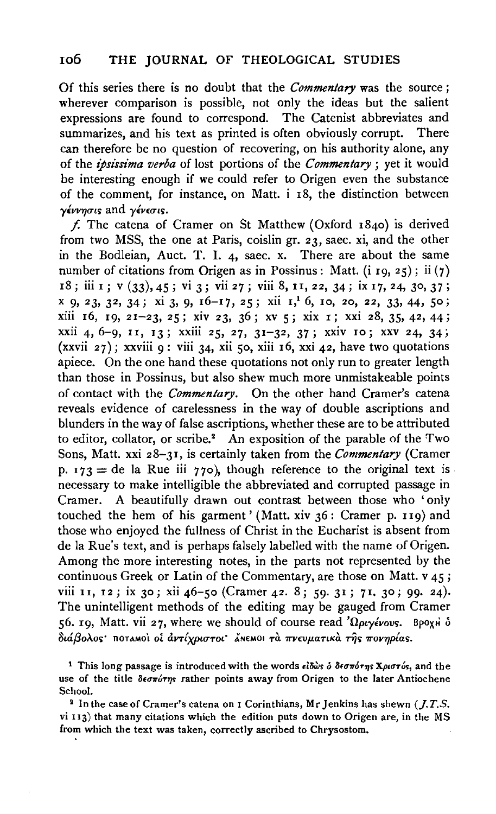Of this series there is no doubt that the *Commentary* was the source ; wherever comparison is possible, not only the ideas but the salient expressions are found to correspond. The Catenist abbreviates and summarizes, and his text as printed is often obviously corrupt. can therefore be no question of recovering, on his authority alone, any of the *ipsissima verba* of lost portions of the *Commentary* ; yet it would be interesting enough if we could refer to Origen even the substance of the comment, for instance, on Matt. i r8, the distinction between  $γ$ *éννησις* and  $γ$ *éνεσις.* 

f. The catena of Cramer on St Matthew (Oxford  $1840$ ) is derived from two MSS, the one at Paris, coislin gr. 23, saec. xi, and the other in the Bodleian, Auct. T. I. 4, saec. x. There are about the same number of citations from Origen as in Possinus: Matt. (i 19, 25); ii (7)  $18$ ; iii  $1$ ; v (33), 45; vi 3; vii 27; viii 8, 11, 22, 34; ix 17, 24, 30, 37;  $x$  9, 23, 32, 34;  $xi$  3, 9,  $16-17$ , 25;  $xii$   $1, 6$ ,  $10$ , 20, 22, 33, 44, 50; xiii 16, 19, 21-23, 25; xiv 23, 36; xv 5; xix 1; xxi 28, 35, 42, 44; xxii 4, 6-9, 11, 13; xxiii 25, 27, 31-32, 37; xxiv 10; xxv 24, 34;  $(xxvii z7)$ ; xxviii 9: viii 34, xii 50, xiii 16, xxi 42, have two quotations apiece. On the one hand these quotations not only run to greater length than those in Possinus, but also shew much more unmistakeable points of contact with the *Commentary.* On the other hand Cramer's catena reveals evidence of carelessness in the way of double ascriptions and blunders in the way of false ascriptions, whether these are to be attributed to editor, collator, or scribe.<sup>2</sup> An exposition of the parable of the Two Sons, Matt. xxi 28-31, is certainly taken from the *Commentary* (Cramer p.  $173$  = de la Rue iii 770), though reference to the original text is necessary to make intelligible the abbreviated and corrupted passage in Cramer. A beautifully drawn out contrast between those who 'only touched the hem of his garment' (Matt. xiv  $36$ : Cramer p. 119) and those who enjoyed the fullness of Christ in the Eucharist is absent from de la Rue's text, and is perhaps falsely labelled with the name ofOrigen. Among the more interesting notes, in the parts not represented by the continuous Greek or Latin of the Commentary, are those on Matt. v 45 ; viii 11, 12; ix 30; xii 46-50 (Cramer 42. 8; 59. 31; 71. 30; 99. 24). The unintelligent methods of the editing may be gauged from Cramer 56. rg, Matt. vii 27, where we should of course read ' $\Omega_{\rho V}$  (vovs. Bpoxi of *SuJ.f3o>..os·* rronMol *oi dV'TL)(ptUTot"* .;N€MOI *Ta 7rV£vp.aTtKa* n}s *7fOV7Jp[as.* 

<sup>&</sup>lt;sup>1</sup> This long passage is introduced with the words είδὼs ό δεσπότης Χριστός, and the use of the title δεσπότης rather points away from Origen to the later Antiochene School.<br><sup>2</sup> In the case of Cramer's catena on I Corinthians, Mr Jenkins has shewn *(J.T.S.* 

vi 113) that many citations which the edition puts down to Origen are, in the MS from which the text was taken, correctly ascribed to Chrysostom.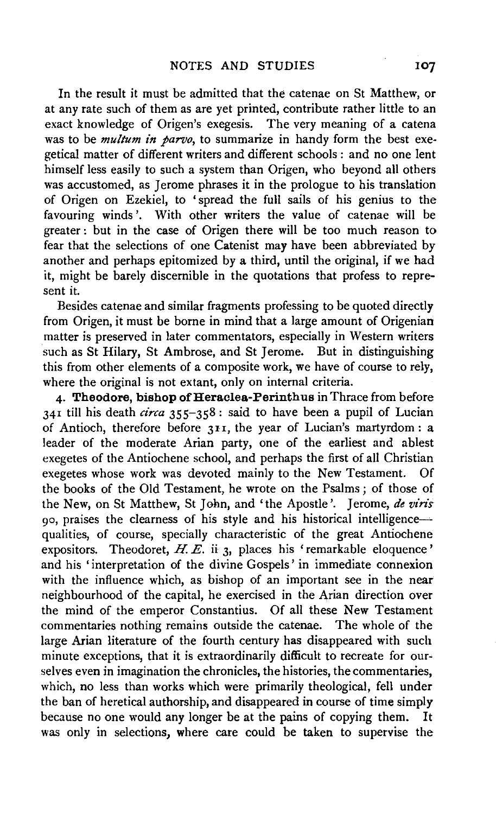In the result it must be admitted that the catenae on St Matthew, or at any rate such of them as are yet printed, contribute rather little to an exact knowledge of Origen's exegesis. The very meaning of a catena was to be *multum in parvo,* to summarize in handy form the best exegetical matter of different writers and different schools : and no one lent himself less easily to such a system than Origen, who beyond all others was accustomed, as Jerome phrases it in the prologue to his translation of Origen on Ezekiel, to ' spread the full sails of his genius to the favouring winds'. With other writers the value of catenae will be greater : but in the case of Origen there will be too much reason to fear that the selections of one Catenist may have been abbreviated by another and perhaps epitomized by a third, until the original, if we had it, might be barely discernible in the quotations that profess to represent it.

Besides catenae and similar fragments professing to be quoted directly from Origen, it must be borne in mind that a large amount of Origenian matter is preserved in later commentators, especially in Western writers such as St Hilary, St Ambrose, and St Jerome. But in distinguishing this from other elements of a composite work, we have of course to rely, where the original is not extant, only on internal criteria.

4. Theodore, bishop of Heraclea-Perinthus in Thrace from before 341 till his death *circa* 355-358: said to have been a pupil of Lucian of Antioch, therefore before 311, the year of Lucian's martyrdom: a leader of the moderate Arian party, one of the earliest and ablest exegetes of the Antiochene school, and perhaps the first of all Christian exegetes whose work was devoted mainly to the New Testament. Of the books of the Old Testament, he wrote on the Psalms ; of those of the New, on St Matthew, St John, and 'the Apostle'. Jerome, *de viris*  90, praises the clearness of his style and his historical intelligencequalities, of course, specially characteristic of the great Antiochene expositors. Theodoret, *H. E.* ii 3, places his 'remarkable eloquence' and his 'interpretation of the divine Gospels' in immediate connexion with the influence which, as bishop of an important see in the near neighbourhood of the capital, he exercised in the Arian direction over the mind of the emperor Constantius. Of all these New Testament commentaries nothing remains outside the catenae. The whole of the large Arian literature of the fourth century has disappeared with such minute exceptions, that it is extraordinarily difficult to recreate for ourselves even in imagination the chronicles, the histories, the commentaries, which, no less than works which were primarily theological, fell under the ban of heretical authorship, and disappeared in course of time simply because no one would any longer be at the pains of copying them. It was only in selections, where care could be taken to supervise the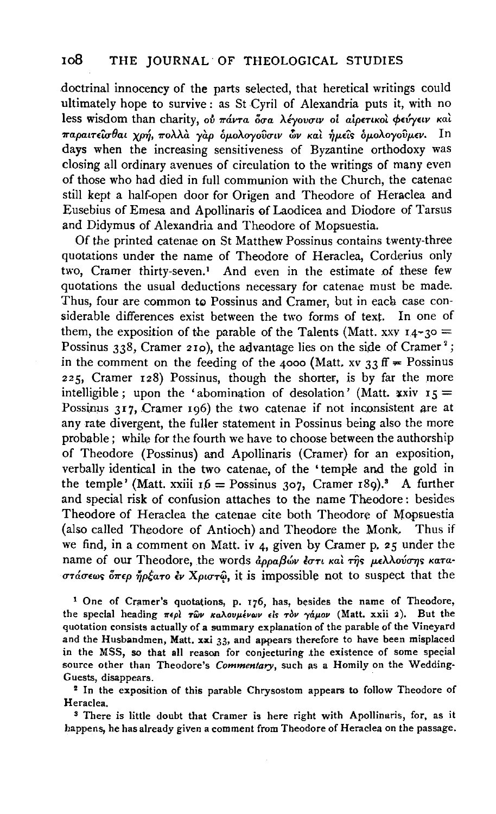doctrinal innocency of the parts selected, that heretical writings could ultimately hope to survive : as St Cyril of Alexandria puts it, with no less wisdom than charity, *ού πάντα όσα λέγουσιν οι αιρετικοι φεύγειν και*  $\pi$ αραιτείσθαι χρή, πολλά γαρ δμολογούσιν δν και ήμεις δμολογούμεν. In days when the increasing sensitiveness of Byzantine orthodoxy was closing all ordinary avenues of circulation to the writings of many even of those who had died in full communion with the Church, the catenae still kept a half-open door for Origen and Theodore of Heraclea and Eusebius of Emesa and Apollinaris of Laodicea and Diodore of Tarsus and Didymus of Alexandria and Theodore of Mopsuestia.

Of the printed catenae on St Matthew Possinus contains twenty-three quotations under the name of Theodore of Heraclea, Corderius only two, Cramer thirty-seven.<sup>1</sup> And even in the estimate of these few quotations the usual deductions necessary for catenae must be made. Thus, four are common to Possinus and Cramer, but in each case considerable differences exist between the two forms of text. In one of them, the exposition of the parable of the Talents (Matt. xxv  $14-30 =$ Possinus  $338$ , Cramer 210), the advantage lies on the side of Cramer<sup>2</sup>; in the comment on the feeding of the 4000 (Matt. xv 33 ff  $\neq$  Possinus 225, Cramer 128) Possinus, though the shorter, is by far the more intelligible; upon the 'abomination of desolation' (Matt.  $\text{xxiv }$  15 = Possinus  $317$ , Cramer 196) the two catenae if not inconsistent are at any rate divergent, the fuller statement in Possinus being also the more probable; while for the fourth we have to choose between the authorship of Theodore (Possinus) and Apollinaris (Cramer) for an exposition, verbally identical in the two catenae, of the 'temple and the gold in the temple' (Matt. xxiii  $16 =$  Possinus 307, Cramer 189).<sup>3</sup> A further and special risk of confusion attaches to the name Theodore : besides Theodore of Heraclea the catenae cite both Theodore of Mopsuestia (also called Theodore of Antioch) and Theodore the Monk. Thus if we find, in a comment on Matt. iv 4, given by Cramer p. 25 under the name of our Theodore, the words *αρραβών εστι και της μελλούσης κατα-* $\sigma\tau\acute{\alpha}\sigma\epsilon\omega s$   $\sigma\tau\epsilon\rho$   $\eta\rho\acute{\xi}a\tau o$   $\epsilon\nu$  X $\rho\iota\sigma\tau\hat{\omega}$ , it is impossible not to suspect that the

<sup>1</sup> One of Cramer's quotations, p. 176, has, besides the name of Theodore, the special heading  $\pi\epsilon\rho l$   $\tau\hat{\omega}\nu$   $\kappa$ aλουμένων είs  $\tau\partial\nu$   $\gamma\acute{\alpha}\mu o\nu$  (Matt. xxii 2). But the quotation consists actually of a summary explanation of the parable of the Vineyard and the Husbandmen, Matt. xxi 33, and appears therefore to have been misplaced in the MSS, so that all reason for conjecturing .the existence of some special source other than Theodore's *Commentary,* such as a Homily on the Wedding-Guests, disappears.<br><sup>2</sup> In the exposition of this parable Chrysostom appears to follow Theodore of

Heraclea.

s There is little doubt that Cramer is here right with Apollinaris, for, as it happens, he bas already given a comment from Theodore of Heraclea on the passage.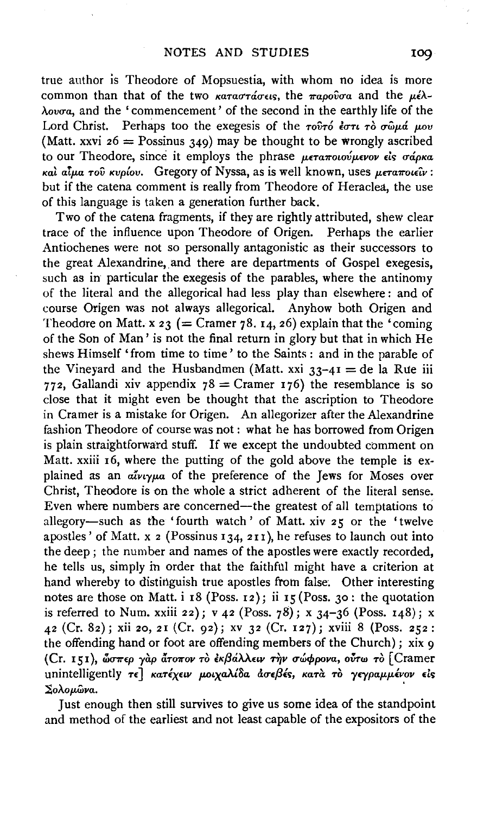true author is Theodore of Mopsuestia, with whom no idea is more common than that of the two *kataota* else, the *napovoa* and the  $\mu \epsilon \lambda$ -*A.ovcra,* and the 'commencement' of the second in the earthly life of the Lord Christ. Perhaps too the exegesis of the *TOTO*  $\epsilon \sigma \tau \iota$  *TO*  $\sigma \omega \mu \iota \mu \sigma \nu$ (Matt. xxvi  $26 =$  Possinus 349) may be thought to be wrongly ascribed to our Theodore, since it employs the phrase μεταποιούμενον είς σάρκα *Kal aip.a Tov Kvp{ov.* Gregory of Nyssa, as is well known, uses *p.rra?ro,£'iv:*  but if the catena comment is really from Theodore of Heraclea, the use of this language is taken a generation further back.

Two of the catena fragments, if they are rightly attributed, shew clear trace of the influence upon Theodore of Origen. Perhaps the earlier Antiochenes were not so personally antagonistic as their successors to the great Alexandrine, and there are departments of Gospel exegesis, such as in particular the exegesis of the parables, where the antinomy of the literal and the allegorical had less play than elsewhere: and of course Origen was not always allegorical. Anyhow both Origen and Theodore on Matt. x 23 (= Cramer 78. 14, 26) explain that the 'coming of the Son of Man ' is not the final return in glory but that in which He shews Himself 'from time to time' to the Saints : and in the parable of the Vineyard and the Husbandmen (Matt. xxi  $33-41 =$  de la Rue iii 772, Gallandi xiv appendix  $78 =$ Cramer 176) the resemblance is so close that it might even be thought that the ascription to Theodore in Cramer is a mistake for Origen. An allegorizer after the Alexandrine fashion Theodore of course was not : what he has borrowed from Origen is plain straightforward stuff. If we except the undoubted comment on Matt. xxiii 16, where the putting of the gold above the temple is explained as an  $\frac{divv}{\mu a}$  of the preference of the Jews for Moses over Christ, Theodore is on the whole a strict adherent of the literal sense. Even where numbers are concerned-the greatest of all temptations to allegory-such as the 'fourth watch ' of Matt. xiv 2 *5* or the 'twelve apostles' of Matt. x  $\alpha$  (Possinus 134,  $\alpha$ 11), he refuses to launch out into the deep; the number and names of the apostles were exactly recorded, he tells us, simply in order that the faithful might have a criterion at hand whereby to distinguish true apostles from false. Other interesting notes are those on Matt. i 18 (Poss. 12); ii 15 (Poss. 30: the quotation is referred to Num. xxiii 22); v 42 (Poss. 78); x 34-36 (Poss. 148); x 42 (Cr. 82); xii 20, 2I (Cr. 92); xv 32 (Cr. I27); xviii 8 (Poss. 252: the offending hand or foot are offending members of the Church); xix 9 (Cr. 151), ώσπερ γαρ άτοπον το εκβάλλειν την σώφρονα, ούτω το *[Cramer* unintelligently τε κατέχειν μοιχαλίδα άσεβές, κατα το γεγραμμένον είς Σολομώνα.

Just enough then still survives to give us some idea of the standpoint and method of the earliest and not least capable of the expositors of the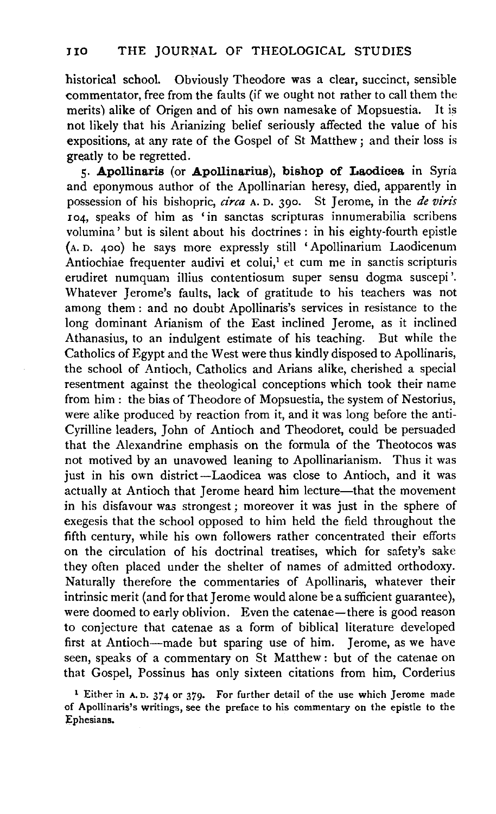historical school. Obviously Theodore was a clear, succinct, sensible commentator, free from the faults (if we ought not rather to call them the merits) alike of Origen and of his own namesake of Monsuestia. It is merits) alike of Origen and of his own namesake of Mopsuestia. not likely that his Arianizing belief seriously affected the value of his expositions, at any rate of the Gospel of St Matthew; and their loss is greatly to be regretted.

5· Apollinaris (or Apollinarius), bishop of Laodicea in Syria and eponymous author of the Apollinarian heresy, died, apparently in possession of his bishopric, *circa* A. D. 390. St Jerome, in the *de viris* 104, speaks of him as 'in sanctas scripturas innumerabilia scribens volumina' but is silent about his doctrines : in his eighty-fourth epistle (A. D. 400) he says more expressly still 'Apollinarium Laodicenum Antiochiae frequenter audivi et colui,<sup>1</sup> et cum me in sanctis scripturis erudiret numquam illius contentiosum super sensu dogma suscepi '. Whatever Jerome's faults, lack of gratitude to his teachers was not among them : and no doubt Apollinaris's services in resistance to the long dominant Arianism of the East inclined Jerome, as it inclined Athanasius, to an indulgent estimate of his teaching. But while the Catholics of Egypt and the West were thus kindly disposed to Apollinaris, the school of Antioch, Catholics and Arians alike, cherished a special resentment against the theological conceptions which took their name from him: the bias of Theodore of Mopsuestia, the system of Nestorius, were alike produced by reaction from it, and it was long before the anti-Cyrilline leaders, John of Antioch and Theodoret, could be persuaded that the Alexandrine emphasis on the formula of the Theotocos was not motived by an unavowed leaning to Apollinarianism. Thus it was just in his own district-Laodicea was close to Antioch, and it was actually at Antioch that Jerome heard him lecture-that the movement in his disfavour was strongest; moreover it was just in the sphere of exegesis that the school opposed to him held the field throughout the fifth century, while his own followers rather concentrated their efforts on the circulation of his doctrinal treatises, which for safety's sake they often placed under the shelter of names of admitted orthodoxy. Naturally therefore the commentaries of Apollinaris, whatever their intrinsic merit (and for that Jerome would alone be a sufficient guarantee), were doomed to early oblivion. Even the catenae—there is good reason to conjecture that catenae as a form of biblical literature developed first at Antioch-made but sparing use of him. Jerome, as we have seen, speaks of a commentary on St Matthew : but of the catenae on that Gospel, Possinus has only sixteen citations from him, Corderius

<sup>&</sup>lt;sup>1</sup> Either in  $A. D. 374$  or  $379.$  For further detail of the use which Jerome made of Apollinaris's writings, see the preface to his commentary on the epistle to the Ephesians.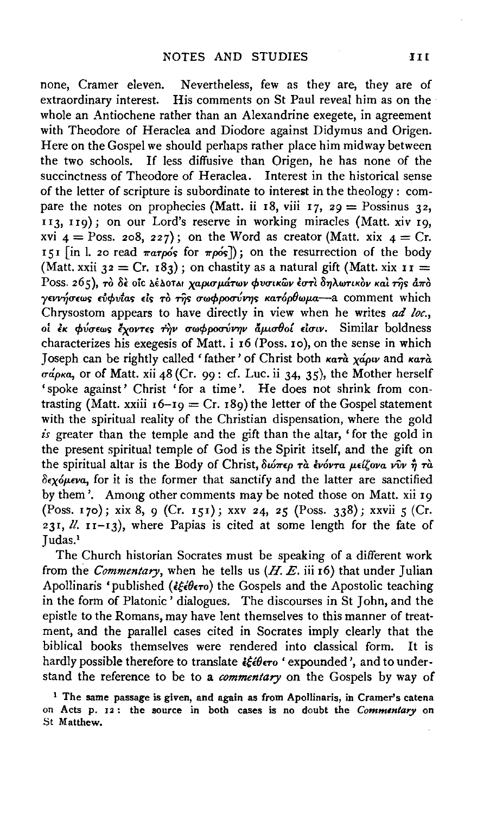none, Cramer eleven. Nevertheless, few as they are, they are of extraordinary interest. His comments on St Paul reveal him as on the whole an Antiochene rather than an Alexandrine exegete, in agreement with Theodore of Heraclea and Diodore against Didymus and Origen. Here on the Gospel we should perhaps rather place him midway between the two schools. If less diffusive than Origen, he has none of the succinctness of Theodore of Heraclea. Interest in the historical sense of the letter of scripture is subordinate to interest in the theology: compare the notes on prophecies (Matt. ii  $18$ , viii  $17$ ,  $29 =$  Possinus 32, II3, 119); on our Lord's reserve in working miracles (Matt. xiv I9, xvi  $4 = Poss. 208, 227$ ; on the Word as creator (Matt. xix  $4 = Cr.$  $\int$ <sup>I</sup><sub>5</sub>I [in l. 20 read  $\pi a\tau p\sigma'$ <sup>5</sup> for  $\pi p\sigma'$ <sub>5</sub>]); on the resurrection of the body (Matt. xxii 32 = Cr. 183); on chastity as a natural gift (Matt. xix  $11 =$ Poss. 265), τὸ δε οις λέλοται χαρισμάτων φυσικῶν εστι δηλωτικὸν και της ἀπο *yEvll1]uEW'> EtJcpvta-.* El-. To ri/'> *uwcppou-VV1J'> KaT6p8wp.a-a* comment which Chrysostom appears to have directly in view when he writes *ad loc.,*  oi εκ φύσεως έχοντες την σωφροσύνην άμισθοί είσιν. Similar boldness characterizes his exegesis of Matt. i 16 (Poss. 10), on the sense in which Joseph can be rightly called 'father' of Christ both *Kata yapu* and *Kata uapKa,* or of Matt. xii 48 (Cr. 99: cf. Luc. ii 34, 35), the Mother herself 'spoke against' Christ 'for a time'. He does not shrink from contrasting (Matt. xxiii  $16-\overline{19} = Cr. 189$ ) the letter of the Gospel statement with the spiritual reality of the Christian dispensation, where the gold *is* greater than the temple and the gift than the altar, 'for the gold in the present spiritual temple of God is the Spirit itself, and the gift on the spiritual altar is the Body of Christ, διόπερ τα ενόντα μείζονα νὖν ή τα *8£x6p.(va,* for it is the former that sanctify and the latter are sanctified by them'. Among other comments may be noted those on Matt. xii I9 (Poss. 17o); xix 8, 9 (Cr. 151); xxv 24, 25 (Poss. 338); xxvii *5* (Cr. 231,  $U$ . 11-13), where Papias is cited at some length for the fate of Judas. <sup>1</sup>

The Church historian Socrates must be speaking of a different work from the *Commentary*, when he tells us  $(H.E.$  iii  $\overline{16})$  that under Julian Apollinaris 'published ( $\epsilon \xi \epsilon \theta \epsilon \tau o$ ) the Gospels and the Apostolic teaching in the form of Platonic ' dialogues. The discourses in St John, and the epistle to the Romans, may have lent themselves to this manner of treatment, and the parallel cases cited in Socrates imply clearly that the biblical books themselves were rendered into classical form. It is hardly possible therefore to translate  $i \xi \ell \theta$ ero 'expounded', and to understand the reference to be to a *commentary* on the Gospels by way of

<sup>1</sup> The same passage is given, and again as from Apollinaris, in Cramer's catena on Acts p. 12 : the source in both cases is no doubt the *Commentary* on St Matthew.